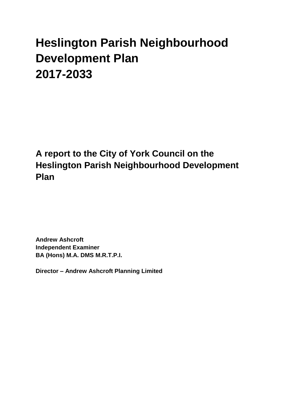# **Heslington Parish Neighbourhood Development Plan 2017-2033**

**A report to the City of York Council on the Heslington Parish Neighbourhood Development Plan**

**Andrew Ashcroft Independent Examiner BA (Hons) M.A. DMS M.R.T.P.I.**

**Director – Andrew Ashcroft Planning Limited**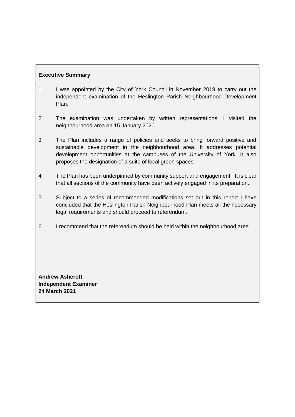# **Executive Summary**

- 1 I was appointed by the City of York Council in November 2019 to carry out the independent examination of the Heslington Parish Neighbourhood Development Plan.
- 2 The examination was undertaken by written representations. I visited the neighbourhood area on 15 January 2020.
- 3 The Plan includes a range of policies and seeks to bring forward positive and sustainable development in the neighbourhood area. It addresses potential development opportunities at the campuses of the University of York. It also proposes the designation of a suite of local green spaces.
- 4 The Plan has been underpinned by community support and engagement. It is clear that all sections of the community have been actively engaged in its preparation.
- 5 Subject to a series of recommended modifications set out in this report I have concluded that the Heslington Parish Neighbourhood Plan meets all the necessary legal requirements and should proceed to referendum.
- 6 I recommend that the referendum should be held within the neighbourhood area.

**Andrew Ashcroft Independent Examiner 24 March 2021**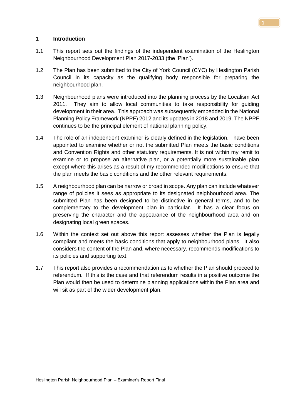#### **1 Introduction**

- 1.1 This report sets out the findings of the independent examination of the Heslington Neighbourhood Development Plan 2017-2033 (the 'Plan').
- 1.2 The Plan has been submitted to the City of York Council (CYC) by Heslington Parish Council in its capacity as the qualifying body responsible for preparing the neighbourhood plan.
- 1.3 Neighbourhood plans were introduced into the planning process by the Localism Act 2011. They aim to allow local communities to take responsibility for guiding development in their area. This approach was subsequently embedded in the National Planning Policy Framework (NPPF) 2012 and its updates in 2018 and 2019. The NPPF continues to be the principal element of national planning policy.
- 1.4 The role of an independent examiner is clearly defined in the legislation. I have been appointed to examine whether or not the submitted Plan meets the basic conditions and Convention Rights and other statutory requirements. It is not within my remit to examine or to propose an alternative plan, or a potentially more sustainable plan except where this arises as a result of my recommended modifications to ensure that the plan meets the basic conditions and the other relevant requirements.
- 1.5 A neighbourhood plan can be narrow or broad in scope. Any plan can include whatever range of policies it sees as appropriate to its designated neighbourhood area. The submitted Plan has been designed to be distinctive in general terms, and to be complementary to the development plan in particular. It has a clear focus on preserving the character and the appearance of the neighbourhood area and on designating local green spaces.
- 1.6 Within the context set out above this report assesses whether the Plan is legally compliant and meets the basic conditions that apply to neighbourhood plans. It also considers the content of the Plan and, where necessary, recommends modifications to its policies and supporting text.
- 1.7 This report also provides a recommendation as to whether the Plan should proceed to referendum. If this is the case and that referendum results in a positive outcome the Plan would then be used to determine planning applications within the Plan area and will sit as part of the wider development plan.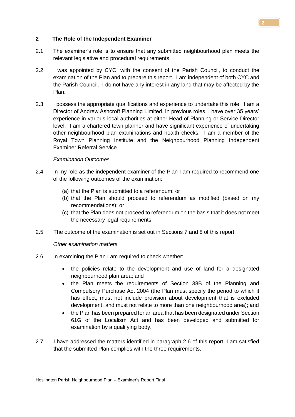#### **2 The Role of the Independent Examiner**

- 2.1 The examiner's role is to ensure that any submitted neighbourhood plan meets the relevant legislative and procedural requirements.
- 2.2 I was appointed by CYC, with the consent of the Parish Council, to conduct the examination of the Plan and to prepare this report. I am independent of both CYC and the Parish Council. I do not have any interest in any land that may be affected by the Plan.
- 2.3 I possess the appropriate qualifications and experience to undertake this role. I am a Director of Andrew Ashcroft Planning Limited. In previous roles, I have over 35 years' experience in various local authorities at either Head of Planning or Service Director level. I am a chartered town planner and have significant experience of undertaking other neighbourhood plan examinations and health checks. I am a member of the Royal Town Planning Institute and the Neighbourhood Planning Independent Examiner Referral Service.

#### *Examination Outcomes*

- 2.4 In my role as the independent examiner of the Plan I am required to recommend one of the following outcomes of the examination:
	- (a) that the Plan is submitted to a referendum; or
	- (b) that the Plan should proceed to referendum as modified (based on my recommendations); or
	- (c) that the Plan does not proceed to referendum on the basis that it does not meet the necessary legal requirements.
- 2.5 The outcome of the examination is set out in Sections 7 and 8 of this report.

*Other examination matters*

- 2.6 In examining the Plan I am required to check whether:
	- the policies relate to the development and use of land for a designated neighbourhood plan area; and
	- the Plan meets the requirements of Section 38B of the Planning and Compulsory Purchase Act 2004 (the Plan must specify the period to which it has effect, must not include provision about development that is excluded development, and must not relate to more than one neighbourhood area); and
	- the Plan has been prepared for an area that has been designated under Section 61G of the Localism Act and has been developed and submitted for examination by a qualifying body.
- 2.7 I have addressed the matters identified in paragraph 2.6 of this report. I am satisfied that the submitted Plan complies with the three requirements.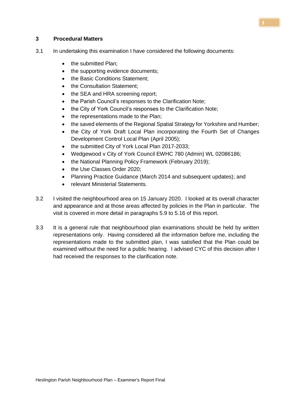#### **3 Procedural Matters**

- 3.1 In undertaking this examination I have considered the following documents:
	- the submitted Plan;
	- the supporting evidence documents;
	- the Basic Conditions Statement;
	- the Consultation Statement;
	- the SEA and HRA screening report;
	- the Parish Council's responses to the Clarification Note;
	- the City of York Council's responses to the Clarification Note;
	- the representations made to the Plan;
	- the saved elements of the Regional Spatial Strategy for Yorkshire and Humber;
	- the City of York Draft Local Plan incorporating the Fourth Set of Changes Development Control Local Plan (April 2005);
	- the submitted City of York Local Plan 2017-2033;
	- Wedgewood v City of York Council EWHC 780 (Admin) WL 02086186;
	- the National Planning Policy Framework (February 2019);
	- the Use Classes Order 2020;
	- Planning Practice Guidance (March 2014 and subsequent updates); and
	- relevant Ministerial Statements.
- 3.2 I visited the neighbourhood area on 15 January 2020. I looked at its overall character and appearance and at those areas affected by policies in the Plan in particular. The visit is covered in more detail in paragraphs 5.9 to 5.16 of this report.
- 3.3 It is a general rule that neighbourhood plan examinations should be held by written representations only. Having considered all the information before me, including the representations made to the submitted plan, I was satisfied that the Plan could be examined without the need for a public hearing. I advised CYC of this decision after I had received the responses to the clarification note.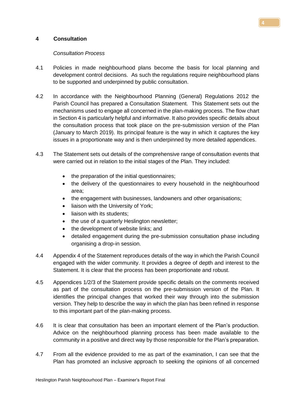## **4 Consultation**

#### *Consultation Process*

- 4.1 Policies in made neighbourhood plans become the basis for local planning and development control decisions. As such the regulations require neighbourhood plans to be supported and underpinned by public consultation.
- 4.2 In accordance with the Neighbourhood Planning (General) Regulations 2012 the Parish Council has prepared a Consultation Statement. This Statement sets out the mechanisms used to engage all concerned in the plan-making process. The flow chart in Section 4 is particularly helpful and informative. It also provides specific details about the consultation process that took place on the pre-submission version of the Plan (January to March 2019). Its principal feature is the way in which it captures the key issues in a proportionate way and is then underpinned by more detailed appendices.
- 4.3 The Statement sets out details of the comprehensive range of consultation events that were carried out in relation to the initial stages of the Plan. They included:
	- the preparation of the initial questionnaires;
	- the delivery of the questionnaires to every household in the neighbourhood area;
	- the engagement with businesses, landowners and other organisations;
	- liaison with the University of York;
	- liaison with its students:
	- the use of a quarterly Heslington newsletter;
	- the development of website links; and
	- detailed engagement during the pre-submission consultation phase including organising a drop-in session.
- 4.4 Appendix 4 of the Statement reproduces details of the way in which the Parish Council engaged with the wider community. It provides a degree of depth and interest to the Statement. It is clear that the process has been proportionate and robust.
- 4.5 Appendices 1/2/3 of the Statement provide specific details on the comments received as part of the consultation process on the pre-submission version of the Plan. It identifies the principal changes that worked their way through into the submission version. They help to describe the way in which the plan has been refined in response to this important part of the plan-making process.
- 4.6 It is clear that consultation has been an important element of the Plan's production. Advice on the neighbourhood planning process has been made available to the community in a positive and direct way by those responsible for the Plan's preparation.
- 4.7 From all the evidence provided to me as part of the examination, I can see that the Plan has promoted an inclusive approach to seeking the opinions of all concerned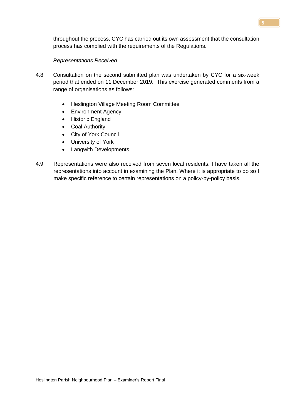throughout the process. CYC has carried out its own assessment that the consultation process has complied with the requirements of the Regulations.

#### *Representations Received*

- 4.8 Consultation on the second submitted plan was undertaken by CYC for a six-week period that ended on 11 December 2019. This exercise generated comments from a range of organisations as follows:
	- Heslington Village Meeting Room Committee
	- Environment Agency
	- Historic England
	- Coal Authority
	- City of York Council
	- University of York
	- Langwith Developments
- 4.9 Representations were also received from seven local residents. I have taken all the representations into account in examining the Plan. Where it is appropriate to do so I make specific reference to certain representations on a policy-by-policy basis.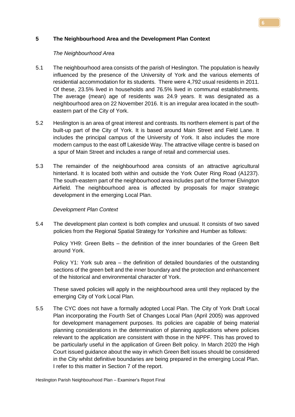## **5 The Neighbourhood Area and the Development Plan Context**

#### *The Neighbourhood Area*

- 5.1 The neighbourhood area consists of the parish of Heslington. The population is heavily influenced by the presence of the University of York and the various elements of residential accommodation for its students. There were 4,792 usual residents in 2011. Of these, 23.5% lived in households and 76.5% lived in communal establishments. The average (mean) age of residents was 24.9 years. It was designated as a neighbourhood area on 22 November 2016. It is an irregular area located in the southeastern part of the City of York.
- 5.2 Heslington is an area of great interest and contrasts. Its northern element is part of the built-up part of the City of York. It is based around Main Street and Field Lane. It includes the principal campus of the University of York. It also includes the more modern campus to the east off Lakeside Way. The attractive village centre is based on a spur of Main Street and includes a range of retail and commercial uses.
- 5.3 The remainder of the neighbourhood area consists of an attractive agricultural hinterland. It is located both within and outside the York Outer Ring Road (A1237). The south-eastern part of the neighbourhood area includes part of the former Elvington Airfield. The neighbourhood area is affected by proposals for major strategic development in the emerging Local Plan.

## *Development Plan Context*

5.4 The development plan context is both complex and unusual. It consists of two saved policies from the Regional Spatial Strategy for Yorkshire and Humber as follows:

Policy YH9: Green Belts – the definition of the inner boundaries of the Green Belt around York.

Policy Y1: York sub area – the definition of detailed boundaries of the outstanding sections of the green belt and the inner boundary and the protection and enhancement of the historical and environmental character of York.

These saved policies will apply in the neighbourhood area until they replaced by the emerging City of York Local Plan.

5.5 The CYC does not have a formally adopted Local Plan. The City of York Draft Local Plan incorporating the Fourth Set of Changes Local Plan (April 2005) was approved for development management purposes. Its policies are capable of being material planning considerations in the determination of planning applications where policies relevant to the application are consistent with those in the NPPF. This has proved to be particularly useful in the application of Green Belt policy. In March 2020 the High Court issued guidance about the way in which Green Belt issues should be considered in the City whilst definitive boundaries are being prepared in the emerging Local Plan. I refer to this matter in Section 7 of the report.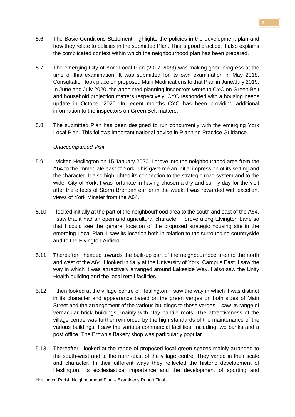- 5.6 The Basic Conditions Statement highlights the policies in the development plan and how they relate to policies in the submitted Plan. This is good practice. It also explains the complicated context within which the neighbourhood plan has been prepared.
- 5.7 The emerging City of York Local Plan (2017-2033) was making good progress at the time of this examination. It was submitted for its own examination in May 2018. Consultation took place on proposed Main Modifications to that Plan in June/July 2019. In June and July 2020, the appointed planning inspectors wrote to CYC on Green Belt and household projection matters respectively. CYC responded with a housing needs update in October 2020. In recent months CYC has been providing additional information to the inspectors on Green Belt matters.
- 5.8 The submitted Plan has been designed to run concurrently with the emerging York Local Plan. This follows important national advice in Planning Practice Guidance.

#### *Unaccompanied Visit*

- 5.9 I visited Heslington on 15 January 2020. I drove into the neighbourhood area from the A64 to the immediate east of York. This gave me an initial impression of its setting and the character. It also highlighted its connection to the strategic road system and to the wider City of York. I was fortunate in having chosen a dry and sunny day for the visit after the effects of Storm Brendan earlier in the week. I was rewarded with excellent views of York Minster from the A64.
- 5.10 I looked initially at the part of the neighbourhood area to the south and east of the A64. I saw that it had an open and agricultural character. I drove along Elvington Lane so that I could see the general location of the proposed strategic housing site in the emerging Local Plan. I saw its location both in relation to the surrounding countryside and to the Elvington Airfield.
- 5.11 Thereafter I headed towards the built-up part of the neighbourhood area to the north and west of the A64. I looked initially at the University of York, Campus East. I saw the way in which it was attractively arranged around Lakeside Way. I also saw the Unity Health building and the local retail facilities.
- 5.12 I then looked at the village centre of Heslington. I saw the way in which it was distinct in its character and appearance based on the green verges on both sides of Main Street and the arrangement of the various buildings to these verges. I saw its range of vernacular brick buildings, mainly with clay pantile roofs. The attractiveness of the village centre was further reinforced by the high standards of the maintenance of the various buildings. I saw the various commercial facilities, including two banks and a post office. The Brown's Bakery shop was particularly popular.
- 5.13 Thereafter I looked at the range of proposed local green spaces mainly arranged to the south-west and to the north-east of the village centre. They varied in their scale and character. In their different ways they reflected the historic development of Heslington, its ecclesiastical importance and the development of sporting and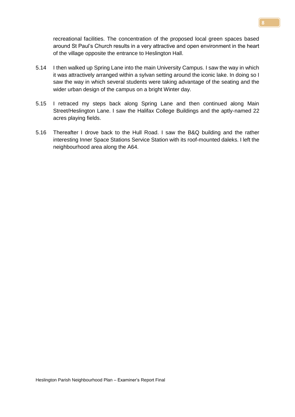recreational facilities. The concentration of the proposed local green spaces based around St Paul's Church results in a very attractive and open environment in the heart of the village opposite the entrance to Heslington Hall.

- 5.14 I then walked up Spring Lane into the main University Campus. I saw the way in which it was attractively arranged within a sylvan setting around the iconic lake. In doing so I saw the way in which several students were taking advantage of the seating and the wider urban design of the campus on a bright Winter day.
- 5.15 I retraced my steps back along Spring Lane and then continued along Main Street/Heslington Lane. I saw the Halifax College Buildings and the aptly-named 22 acres playing fields.
- 5.16 Thereafter I drove back to the Hull Road. I saw the B&Q building and the rather interesting Inner Space Stations Service Station with its roof-mounted daleks. I left the neighbourhood area along the A64.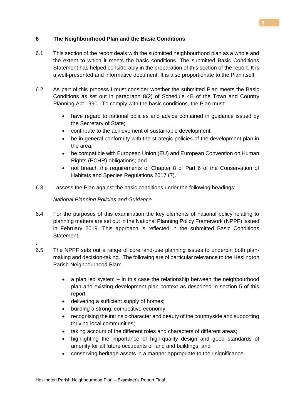## **6 The Neighbourhood Plan and the Basic Conditions**

- 6.1 This section of the report deals with the submitted neighbourhood plan as a whole and the extent to which it meets the basic conditions. The submitted Basic Conditions Statement has helped considerably in the preparation of this section of the report. It is a well-presented and informative document. It is also proportionate to the Plan itself.
- 6.2 As part of this process I must consider whether the submitted Plan meets the Basic Conditions as set out in paragraph 8(2) of Schedule 4B of the Town and Country Planning Act 1990. To comply with the basic conditions, the Plan must:
	- have regard to national policies and advice contained in guidance issued by the Secretary of State;
	- contribute to the achievement of sustainable development;
	- be in general conformity with the strategic policies of the development plan in the area;
	- be compatible with European Union (EU) and European Convention on Human Rights (ECHR) obligations; and
	- not breach the requirements of Chapter 8 of Part 6 of the Conservation of Habitats and Species Regulations 2017 (7).
- 6.3 I assess the Plan against the basic conditions under the following headings:

## *National Planning Policies and Guidance*

.

- 6.4 For the purposes of this examination the key elements of national policy relating to planning matters are set out in the National Planning Policy Framework (NPPF) issued in February 2019. This approach is reflected in the submitted Basic Conditions Statement.
- 6.5 The NPPF sets out a range of core land-use planning issues to underpin both planmaking and decision-taking. The following are of particular relevance to the Heslington Parish Neighbourhood Plan:
	- $\bullet$  a plan led system in this case the relationship between the neighbourhood plan and existing development plan context as described in section 5 of this report;
	- delivering a sufficient supply of homes;
	- building a strong, competitive economy;
	- recognising the intrinsic character and beauty of the countryside and supporting thriving local communities;
	- taking account of the different roles and characters of different areas;
	- highlighting the importance of high-quality design and good standards of amenity for all future occupants of land and buildings; and
	- conserving heritage assets in a manner appropriate to their significance.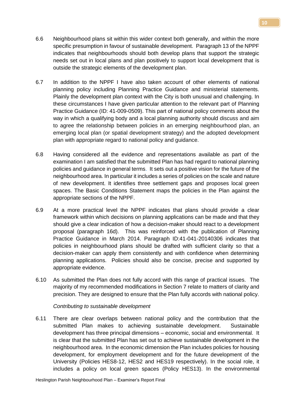- 6.6 Neighbourhood plans sit within this wider context both generally, and within the more specific presumption in favour of sustainable development. Paragraph 13 of the NPPF indicates that neighbourhoods should both develop plans that support the strategic needs set out in local plans and plan positively to support local development that is outside the strategic elements of the development plan.
- 6.7 In addition to the NPPF I have also taken account of other elements of national planning policy including Planning Practice Guidance and ministerial statements. Plainly the development plan context with the City is both unusual and challenging. In these circumstances I have given particular attention to the relevant part of Planning Practice Guidance (ID: 41-009-0509). This part of national policy comments about the way in which a qualifying body and a local planning authority should discuss and aim to agree the relationship between policies in an emerging neighbourhood plan, an emerging local plan (or spatial development strategy) and the adopted development plan with appropriate regard to national policy and guidance.
- 6.8 Having considered all the evidence and representations available as part of the examination I am satisfied that the submitted Plan has had regard to national planning policies and guidance in general terms. It sets out a positive vision for the future of the neighbourhood area. In particular it includes a series of policies on the scale and nature of new development. It identifies three settlement gaps and proposes local green spaces. The Basic Conditions Statement maps the policies in the Plan against the appropriate sections of the NPPF.
- 6.9 At a more practical level the NPPF indicates that plans should provide a clear framework within which decisions on planning applications can be made and that they should give a clear indication of how a decision-maker should react to a development proposal (paragraph 16d). This was reinforced with the publication of Planning Practice Guidance in March 2014. Paragraph ID:41-041-20140306 indicates that policies in neighbourhood plans should be drafted with sufficient clarity so that a decision-maker can apply them consistently and with confidence when determining planning applications. Policies should also be concise, precise and supported by appropriate evidence.
- 6.10 As submitted the Plan does not fully accord with this range of practical issues. The majority of my recommended modifications in Section 7 relate to matters of clarity and precision. They are designed to ensure that the Plan fully accords with national policy.

*Contributing to sustainable development*

6.11 There are clear overlaps between national policy and the contribution that the submitted Plan makes to achieving sustainable development. Sustainable development has three principal dimensions – economic, social and environmental. It is clear that the submitted Plan has set out to achieve sustainable development in the neighbourhood area. In the economic dimension the Plan includes policies for housing development, for employment development and for the future development of the University (Policies HES8-12, HES2 and HES19 respectively). In the social role, it includes a policy on local green spaces (Policy HES13). In the environmental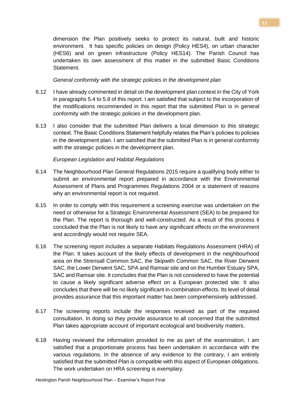dimension the Plan positively seeks to protect its natural, built and historic environment. It has specific policies on design (Policy HES4), on urban character (HES6) and on green infrastructure (Policy HES14). The Parish Council has undertaken its own assessment of this matter in the submitted Basic Conditions Statement.

#### *General conformity with the strategic policies in the development plan*

- 6.12 I have already commented in detail on the development plan context in the City of York in paragraphs 5.4 to 5.8 of this report. I am satisfied that subject to the incorporation of the modifications recommended in this report that the submitted Plan is in general conformity with the strategic policies in the development plan.
- 6.13 I also consider that the submitted Plan delivers a local dimension to this strategic context. The Basic Conditions Statement helpfully relates the Plan's policies to policies in the development plan. I am satisfied that the submitted Plan is in general conformity with the strategic policies in the development plan.

#### *European Legislation and Habitat Regulations*

- 6.14 The Neighbourhood Plan General Regulations 2015 require a qualifying body either to submit an environmental report prepared in accordance with the Environmental Assessment of Plans and Programmes Regulations 2004 or a statement of reasons why an environmental report is not required.
- 6.15 In order to comply with this requirement a screening exercise was undertaken on the need or otherwise for a Strategic Environmental Assessment (SEA) to be prepared for the Plan. The report is thorough and well-constructed. As a result of this process it concluded that the Plan is not likely to have any significant effects on the environment and accordingly would not require SEA.
- 6.16 The screening report includes a separate Habitats Regulations Assessment (HRA) of the Plan. It takes account of the likely effects of development in the neighbourhood area on the Strensall Common SAC, the Skipwith Common SAC, the River Derwent SAC, the Lower Derwent SAC, SPA and Ramsar site and on the Humber Estuary SPA, SAC and Ramsar site. It concludes that the Plan is not considered to have the potential to cause a likely significant adverse effect on a European protected site. It also concludes that there will be no likely significant in-combination effects. Its level of detail provides assurance that this important matter has been comprehensively addressed.
- 6.17 The screening reports include the responses received as part of the required consultation. In doing so they provide assurance to all concerned that the submitted Plan takes appropriate account of important ecological and biodiversity matters.
- 6.18 Having reviewed the information provided to me as part of the examination, I am satisfied that a proportionate process has been undertaken in accordance with the various regulations. In the absence of any evidence to the contrary, I am entirely satisfied that the submitted Plan is compatible with this aspect of European obligations. The work undertaken on HRA screening is exemplary.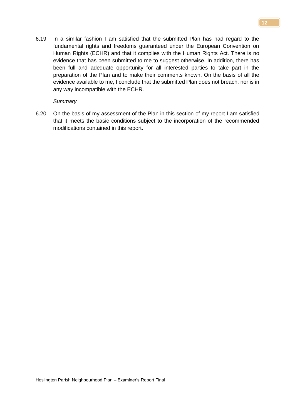6.19 In a similar fashion I am satisfied that the submitted Plan has had regard to the fundamental rights and freedoms guaranteed under the European Convention on Human Rights (ECHR) and that it complies with the Human Rights Act. There is no evidence that has been submitted to me to suggest otherwise. In addition, there has been full and adequate opportunity for all interested parties to take part in the preparation of the Plan and to make their comments known. On the basis of all the evidence available to me, I conclude that the submitted Plan does not breach, nor is in any way incompatible with the ECHR.

#### *Summary*

6.20 On the basis of my assessment of the Plan in this section of my report I am satisfied that it meets the basic conditions subject to the incorporation of the recommended modifications contained in this report.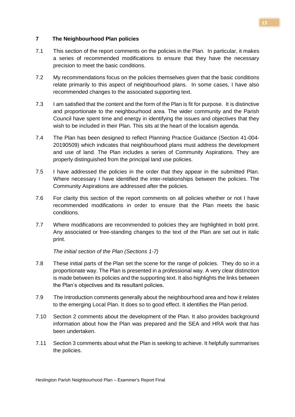#### **7 The Neighbourhood Plan policies**

- 7.1 This section of the report comments on the policies in the Plan. In particular, it makes a series of recommended modifications to ensure that they have the necessary precision to meet the basic conditions.
- 7.2 My recommendations focus on the policies themselves given that the basic conditions relate primarily to this aspect of neighbourhood plans. In some cases, I have also recommended changes to the associated supporting text.
- 7.3 I am satisfied that the content and the form of the Plan is fit for purpose. It is distinctive and proportionate to the neighbourhood area. The wider community and the Parish Council have spent time and energy in identifying the issues and objectives that they wish to be included in their Plan. This sits at the heart of the localism agenda.
- 7.4 The Plan has been designed to reflect Planning Practice Guidance (Section 41-004- 20190509) which indicates that neighbourhood plans must address the development and use of land. The Plan includes a series of Community Aspirations. They are properly distinguished from the principal land use policies.
- 7.5 I have addressed the policies in the order that they appear in the submitted Plan. Where necessary I have identified the inter-relationships between the policies. The Community Aspirations are addressed after the policies.
- 7.6 For clarity this section of the report comments on all policies whether or not I have recommended modifications in order to ensure that the Plan meets the basic conditions.
- 7.7 Where modifications are recommended to policies they are highlighted in bold print. Any associated or free-standing changes to the text of the Plan are set out in italic print.

*The initial section of the Plan (Sections 1-7)*

- 7.8 These initial parts of the Plan set the scene for the range of policies. They do so in a proportionate way. The Plan is presented in a professional way. A very clear distinction is made between its policies and the supporting text. It also highlights the links between the Plan's objectives and its resultant policies.
- 7.9 The Introduction comments generally about the neighbourhood area and how it relates to the emerging Local Plan. It does so to good effect. It identifies the Plan period.
- 7.10 Section 2 comments about the development of the Plan. It also provides background information about how the Plan was prepared and the SEA and HRA work that has been undertaken.
- 7.11 Section 3 comments about what the Plan is seeking to achieve. It helpfully summarises the policies.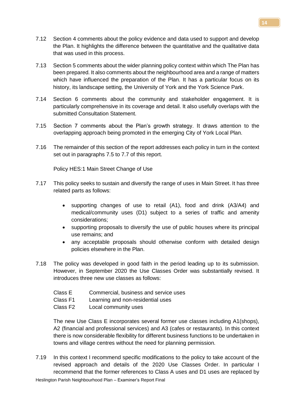- 7.12 Section 4 comments about the policy evidence and data used to support and develop the Plan. It highlights the difference between the quantitative and the qualitative data that was used in this process.
- 7.13 Section 5 comments about the wider planning policy context within which The Plan has been prepared. It also comments about the neighbourhood area and a range of matters which have influenced the preparation of the Plan. It has a particular focus on its history, its landscape setting, the University of York and the York Science Park.
- 7.14 Section 6 comments about the community and stakeholder engagement. It is particularly comprehensive in its coverage and detail. It also usefully overlaps with the submitted Consultation Statement.
- 7.15 Section 7 comments about the Plan's growth strategy. It draws attention to the overlapping approach being promoted in the emerging City of York Local Plan.
- 7.16 The remainder of this section of the report addresses each policy in turn in the context set out in paragraphs 7.5 to 7.7 of this report.

Policy HES:1 Main Street Change of Use

- 7.17 This policy seeks to sustain and diversify the range of uses in Main Street. It has three related parts as follows:
	- supporting changes of use to retail (A1), food and drink (A3/A4) and medical/community uses (D1) subject to a series of traffic and amenity considerations;
	- supporting proposals to diversify the use of public houses where its principal use remains; and
	- any acceptable proposals should otherwise conform with detailed design policies elsewhere in the Plan.
- 7.18 The policy was developed in good faith in the period leading up to its submission. However, in September 2020 the Use Classes Order was substantially revised. It introduces three new use classes as follows:
	- Class E Commercial, business and service uses
	- Class F1 Learning and non-residential uses
	- Class F2 Local community uses

The new Use Class E incorporates several former use classes including A1(shops), A2 (financial and professional services) and A3 (cafes or restaurants). In this context there is now considerable flexibility for different business functions to be undertaken in towns and village centres without the need for planning permission.

7.19 In this context I recommend specific modifications to the policy to take account of the revised approach and details of the 2020 Use Classes Order. In particular I recommend that the former references to Class A uses and D1 uses are replaced by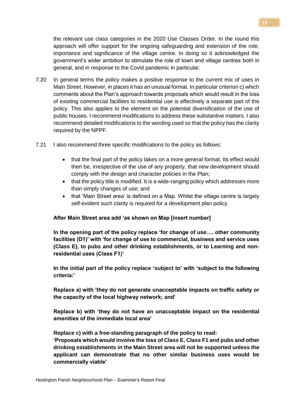the relevant use class categories in the 2020 Use Classes Order. In the round this approach will offer support for the ongoing safeguarding and extension of the role, importance and significance of the village centre. In doing so it acknowledged the government's wider ambition to stimulate the role of town and village centres both in general, and in response to the Covid pandemic in particular.

- 7.20 In general terms the policy makes a positive response to the current mix of uses in Main Street. However, in places it has an unusual format. In particular criterion c) which comments about the Plan's approach towards proposals which would result in the loss of existing commercial facilities to residential use is effectively a separate part of the policy. This also applies to the element on the potential diversification of the use of public houses. I recommend modifications to address these substantive matters. I also recommend detailed modifications to the wording used so that the policy has the clarity required by the NPPF.
- 7.21 I also recommend three specific modifications to the policy as follows:
	- that the final part of the policy takes on a more general format. Its effect would then be, irrespective of the use of any property, that new development should comply with the design and character policies in the Plan;
	- that the policy title is modified. It is a wide-ranging policy which addresses more than simply changes of use; and
	- that 'Main Street area' is defined on a Map. Whilst the village centre is largely self-evident such clarity is required for a development plan policy.

#### **After Main Street area add 'as shown on Map [insert number]**

**In the opening part of the policy replace 'for change of use…. other community facilities (D1)' with 'for change of use to commercial, business and service uses (Class E), to pubs and other drinking establishments, or to Learning and nonresidential uses (Class F1)'**

**In the initial part of the policy replace 'subject to' with 'subject to the following criteria:'**

**Replace a) with 'they do not generate unacceptable impacts on traffic safety or the capacity of the local highway network; and'**

**Replace b) with 'they do not have an unacceptable impact on the residential amenities of the immediate local area'**

**Replace c) with a free-standing paragraph of the policy to read:**

**'Proposals which would involve the loss of Class E, Class F1 and pubs and other drinking establishments in the Main Street area will not be supported unless the applicant can demonstrate that no other similar business uses would be commercially viable'**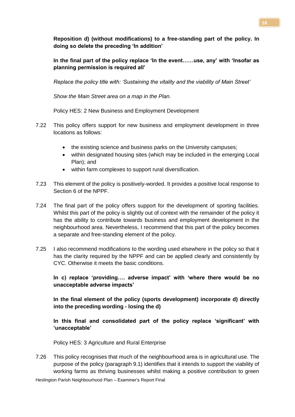**Reposition d) (without modifications) to a free-standing part of the policy. In doing so delete the preceding 'In addition'**

**In the final part of the policy replace 'In the event……use, any' with 'Insofar as planning permission is required all'**

*Replace the policy title with: 'Sustaining the vitality and the viability of Main Street'*

*Show the Main Street area on a map in the Plan.*

Policy HES: 2 New Business and Employment Development

- 7.22 This policy offers support for new business and employment development in three locations as follows:
	- the existing science and business parks on the University campuses;
	- within designated housing sites (which may be included in the emerging Local Plan); and
	- within farm complexes to support rural diversification.
- 7.23 This element of the policy is positively-worded. It provides a positive local response to Section 6 of the NPPF.
- 7.24 The final part of the policy offers support for the development of sporting facilities. Whilst this part of the policy is slightly out of context with the remainder of the policy it has the ability to contribute towards business and employment development in the neighbourhood area. Nevertheless, I recommend that this part of the policy becomes a separate and free-standing element of the policy.
- 7.25 I also recommend modifications to the wording used elsewhere in the policy so that it has the clarity required by the NPPF and can be applied clearly and consistently by CYC. Otherwise it meets the basic conditions.

**In c) replace 'providing…. adverse impact' with 'where there would be no unacceptable adverse impacts'**

**In the final element of the policy (sports development) incorporate d) directly into the preceding wording - losing the d)**

**In this final and consolidated part of the policy replace 'significant' with 'unacceptable'**

Policy HES: 3 Agriculture and Rural Enterprise

7.26 This policy recognises that much of the neighbourhood area is in agricultural use. The purpose of the policy (paragraph 9.1) identifies that it intends to support the viability of working farms as thriving businesses whilst making a positive contribution to green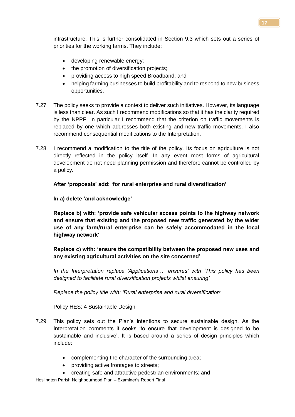infrastructure. This is further consolidated in Section 9.3 which sets out a series of priorities for the working farms. They include:

- developing renewable energy;
- the promotion of diversification projects;
- providing access to high speed Broadband; and
- helping farming businesses to build profitability and to respond to new business opportunities.
- 7.27 The policy seeks to provide a context to deliver such initiatives. However, its language is less than clear. As such I recommend modifications so that it has the clarity required by the NPPF. In particular I recommend that the criterion on traffic movements is replaced by one which addresses both existing and new traffic movements. I also recommend consequential modifications to the Interpretation.
- 7.28 I recommend a modification to the title of the policy. Its focus on agriculture is not directly reflected in the policy itself. In any event most forms of agricultural development do not need planning permission and therefore cannot be controlled by a policy.

**After 'proposals' add: 'for rural enterprise and rural diversification'**

**In a) delete 'and acknowledge'**

**Replace b) with: 'provide safe vehicular access points to the highway network and ensure that existing and the proposed new traffic generated by the wider use of any farm/rural enterprise can be safely accommodated in the local highway network'**

**Replace c) with: 'ensure the compatibility between the proposed new uses and any existing agricultural activities on the site concerned'**

*In the Interpretation replace 'Applications…. ensures' with 'This policy has been designed to facilitate rural diversification projects whilst ensuring'*

*Replace the policy title with: 'Rural enterprise and rural diversification'*

Policy HES: 4 Sustainable Design

- 7.29 This policy sets out the Plan's intentions to secure sustainable design. As the Interpretation comments it seeks 'to ensure that development is designed to be sustainable and inclusive'. It is based around a series of design principles which include:
	- complementing the character of the surrounding area;
	- providing active frontages to streets;
	- creating safe and attractive pedestrian environments; and

Heslington Parish Neighbourhood Plan – Examiner's Report Final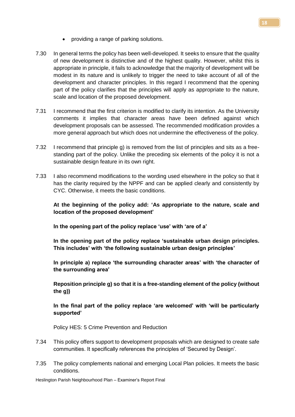- providing a range of parking solutions.
- 7.30 In general terms the policy has been well-developed. It seeks to ensure that the quality of new development is distinctive and of the highest quality. However, whilst this is appropriate in principle, it fails to acknowledge that the majority of development will be modest in its nature and is unlikely to trigger the need to take account of all of the development and character principles. In this regard I recommend that the opening part of the policy clarifies that the principles will apply as appropriate to the nature, scale and location of the proposed development.
- 7.31 I recommend that the first criterion is modified to clarify its intention. As the University comments it implies that character areas have been defined against which development proposals can be assessed. The recommended modification provides a more general approach but which does not undermine the effectiveness of the policy.
- 7.32 I recommend that principle g) is removed from the list of principles and sits as a freestanding part of the policy. Unlike the preceding six elements of the policy it is not a sustainable design feature in its own right.
- 7.33 I also recommend modifications to the wording used elsewhere in the policy so that it has the clarity required by the NPPF and can be applied clearly and consistently by CYC. Otherwise, it meets the basic conditions.

# **At the beginning of the policy add: 'As appropriate to the nature, scale and location of the proposed development'**

**In the opening part of the policy replace 'use' with 'are of a'** 

**In the opening part of the policy replace 'sustainable urban design principles. This includes' with 'the following sustainable urban design principles'**

**In principle a) replace 'the surrounding character areas' with 'the character of the surrounding area'**

**Reposition principle g) so that it is a free-standing element of the policy (without the g))**

**In the final part of the policy replace 'are welcomed' with 'will be particularly supported'**

Policy HES: 5 Crime Prevention and Reduction

- 7.34 This policy offers support to development proposals which are designed to create safe communities. It specifically references the principles of 'Secured by Design'.
- 7.35 The policy complements national and emerging Local Plan policies. It meets the basic conditions.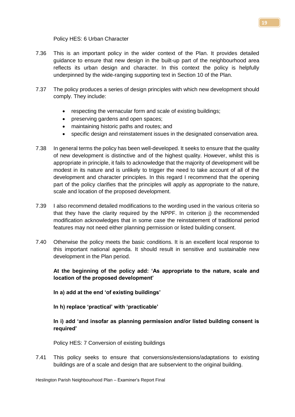Policy HES: 6 Urban Character

- 7.36 This is an important policy in the wider context of the Plan. It provides detailed guidance to ensure that new design in the built-up part of the neighbourhood area reflects its urban design and character. In this context the policy is helpfully underpinned by the wide-ranging supporting text in Section 10 of the Plan.
- 7.37 The policy produces a series of design principles with which new development should comply. They include:
	- respecting the vernacular form and scale of existing buildings;
	- preserving gardens and open spaces;
	- maintaining historic paths and routes; and
	- specific design and reinstatement issues in the designated conservation area.
- 7.38 In general terms the policy has been well-developed. It seeks to ensure that the quality of new development is distinctive and of the highest quality. However, whilst this is appropriate in principle, it fails to acknowledge that the majority of development will be modest in its nature and is unlikely to trigger the need to take account of all of the development and character principles. In this regard I recommend that the opening part of the policy clarifies that the principles will apply as appropriate to the nature, scale and location of the proposed development.
- 7.39 I also recommend detailed modifications to the wording used in the various criteria so that they have the clarity required by the NPPF. In criterion j) the recommended modification acknowledges that in some case the reinstatement of traditional period features may not need either planning permission or listed building consent.
- 7.40 Otherwise the policy meets the basic conditions. It is an excellent local response to this important national agenda. It should result in sensitive and sustainable new development in the Plan period.

# **At the beginning of the policy add: 'As appropriate to the nature, scale and location of the proposed development'**

- **In a) add at the end 'of existing buildings'**
- **In h) replace 'practical' with 'practicable'**

# **In i) add 'and insofar as planning permission and/or listed building consent is required'**

Policy HES: 7 Conversion of existing buildings

7.41 This policy seeks to ensure that conversions/extensions/adaptations to existing buildings are of a scale and design that are subservient to the original building.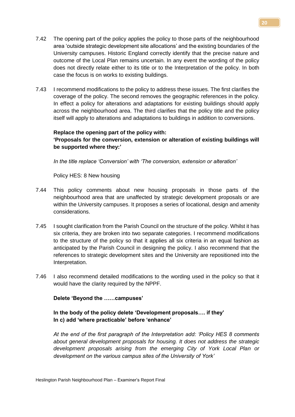- 7.42 The opening part of the policy applies the policy to those parts of the neighbourhood area 'outside strategic development site allocations' and the existing boundaries of the University campuses. Historic England correctly identify that the precise nature and outcome of the Local Plan remains uncertain. In any event the wording of the policy does not directly relate either to its title or to the Interpretation of the policy. In both case the focus is on works to existing buildings.
- 7.43 I recommend modifications to the policy to address these issues. The first clarifies the coverage of the policy. The second removes the geographic references in the policy. In effect a policy for alterations and adaptations for existing buildings should apply across the neighbourhood area. The third clarifies that the policy title and the policy itself will apply to alterations and adaptations to buildings in addition to conversions.

#### **Replace the opening part of the policy with:**

**'Proposals for the conversion, extension or alteration of existing buildings will be supported where they:'**

*In the title replace 'Conversion' with 'The conversion, extension or alteration'*

Policy HES: 8 New housing

- 7.44 This policy comments about new housing proposals in those parts of the neighbourhood area that are unaffected by strategic development proposals or are within the University campuses. It proposes a series of locational, design and amenity considerations.
- 7.45 I sought clarification from the Parish Council on the structure of the policy. Whilst it has six criteria, they are broken into two separate categories. I recommend modifications to the structure of the policy so that it applies all six criteria in an equal fashion as anticipated by the Parish Council in designing the policy. I also recommend that the references to strategic development sites and the University are repositioned into the Interpretation.
- 7.46 I also recommend detailed modifications to the wording used in the policy so that it would have the clarity required by the NPPF.

## **Delete 'Beyond the ……campuses'**

## **In the body of the policy delete 'Development proposals…. if they' In c) add 'where practicable' before 'enhance'**

*At the end of the first paragraph of the Interpretation add: 'Policy HES 8 comments about general development proposals for housing. It does not address the strategic development proposals arising from the emerging City of York Local Plan or development on the various campus sites of the University of York'*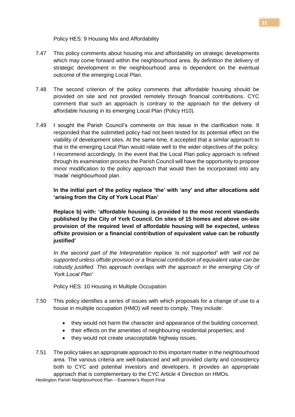Policy HES: 9 Housing Mix and Affordability

- 7.47 This policy comments about housing mix and affordability on strategic developments which may come forward within the neighbourhood area. By definition the delivery of strategic development in the neighbourhood area is dependent on the eventual outcome of the emerging Local Plan.
- 7.48 The second criterion of the policy comments that affordable housing should be provided on site and not provided remotely through financial contributions. CYC comment that such an approach is contrary to the approach for the delivery of affordable housing in its emerging Local Plan (Policy H10).
- 7.49 I sought the Parish Council's comments on this issue in the clarification note. It responded that the submitted policy had not been tested for its potential effect on the viability of development sites. At the same time, it accepted that a similar approach to that in the emerging Local Plan would relate well to the wider objectives of the policy. I recommend accordingly. In the event that the Local Plan policy approach is refined through its examination process the Parish Council will have the opportunity to propose minor modification to the policy approach that would then be incorporated into any 'made' neighbourhood plan.

**In the initial part of the policy replace 'the' with 'any' and after allocations add 'arising from the City of York Local Plan'**

**Replace b) with: 'affordable housing is provided to the most recent standards published by the City of York Council. On sites of 15 homes and above on-site provision of the required level of affordable housing will be expected, unless offsite provision or a financial contribution of equivalent value can be robustly justified'**

*In the second part of the Interpretation replace 'is not supported' with 'will not be supported unless offsite provision or a financial contribution of equivalent value can be robustly justified. This approach overlaps with the approach in the emerging City of York Local Plan'*

Policy HES: 10 Housing in Multiple Occupation

- 7.50 This policy identifies a series of issues with which proposals for a change of use to a house in multiple occupation (HMO) will need to comply. They include:
	- they would not harm the character and appearance of the building concerned;
	- their effects on the amenities of neighbouring residential properties; and
	- they would not create unacceptable highway issues.

Heslington Parish Neighbourhood Plan – Examiner's Report Final 7.51 The policy takes an appropriate approach to this important matter in the neighbourhood area. The various criteria are well-balanced and will provided clarity and consistency both to CYC and potential investors and developers. It provides an appropriate approach that is complementary to the CYC Article 4 Direction on HMOs.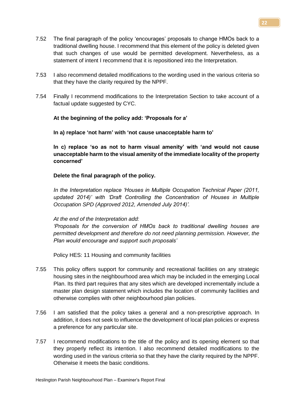- 7.52 The final paragraph of the policy 'encourages' proposals to change HMOs back to a traditional dwelling house. I recommend that this element of the policy is deleted given that such changes of use would be permitted development. Nevertheless, as a statement of intent I recommend that it is repositioned into the Interpretation.
- 7.53 I also recommend detailed modifications to the wording used in the various criteria so that they have the clarity required by the NPPF.
- 7.54 Finally I recommend modifications to the Interpretation Section to take account of a factual update suggested by CYC.

## **At the beginning of the policy add: 'Proposals for a'**

#### **In a) replace 'not harm' with 'not cause unacceptable harm to'**

**In c) replace 'so as not to harm visual amenity' with 'and would not cause unacceptable harm to the visual amenity of the immediate locality of the property concerned'**

## **Delete the final paragraph of the policy.**

*In the Interpretation replace 'Houses in Multiple Occupation Technical Paper (2011, updated 2014)' with 'Draft Controlling the Concentration of Houses in Multiple Occupation SPD (Approved 2012, Amended July 2014)'.*

## *At the end of the Interpretation add:*

*'Proposals for the conversion of HMOs back to traditional dwelling houses are permitted development and therefore do not need planning permission. However, the Plan would encourage and support such proposals'* 

Policy HES: 11 Housing and community facilities

- 7.55 This policy offers support for community and recreational facilities on any strategic housing sites in the neighbourhood area which may be included in the emerging Local Plan. Its third part requires that any sites which are developed incrementally include a master plan design statement which includes the location of community facilities and otherwise complies with other neighbourhood plan policies.
- 7.56 I am satisfied that the policy takes a general and a non-prescriptive approach. In addition, it does not seek to influence the development of local plan policies or express a preference for any particular site.
- 7.57 I recommend modifications to the title of the policy and its opening element so that they properly reflect its intention. I also recommend detailed modifications to the wording used in the various criteria so that they have the clarity required by the NPPF. Otherwise it meets the basic conditions.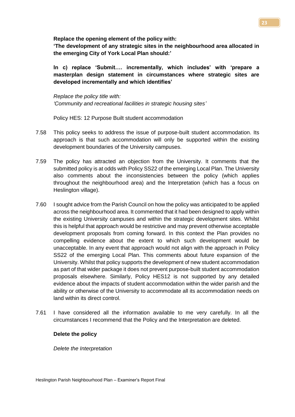**Replace the opening element of the policy with:**

**'The development of any strategic sites in the neighbourhood area allocated in the emerging City of York Local Plan should:'**

**In c) replace 'Submit…. incrementally, which includes' with 'prepare a masterplan design statement in circumstances where strategic sites are developed incrementally and which identifies'**

*Replace the policy title with: 'Community and recreational facilities in strategic housing sites'*

Policy HES: 12 Purpose Built student accommodation

- 7.58 This policy seeks to address the issue of purpose-built student accommodation. Its approach is that such accommodation will only be supported within the existing development boundaries of the University campuses.
- 7.59 The policy has attracted an objection from the University. It comments that the submitted policy is at odds with Policy SS22 of the emerging Local Plan. The University also comments about the inconsistencies between the policy (which applies throughout the neighbourhood area) and the Interpretation (which has a focus on Heslington village).
- 7.60 I sought advice from the Parish Council on how the policy was anticipated to be applied across the neighbourhood area. It commented that it had been designed to apply within the existing University campuses and within the strategic development sites. Whilst this is helpful that approach would be restrictive and may prevent otherwise acceptable development proposals from coming forward. In this context the Plan provides no compelling evidence about the extent to which such development would be unacceptable. In any event that approach would not align with the approach in Policy SS22 of the emerging Local Plan. This comments about future expansion of the University. Whilst that policy supports the development of new student accommodation as part of that wider package it does not prevent purpose-built student accommodation proposals elsewhere. Similarly, Policy HES12 is not supported by any detailed evidence about the impacts of student accommodation within the wider parish and the ability or otherwise of the University to accommodate all its accommodation needs on land within its direct control.
- 7.61 I have considered all the information available to me very carefully. In all the circumstances I recommend that the Policy and the Interpretation are deleted.

## **Delete the policy**

*Delete the Interpretation*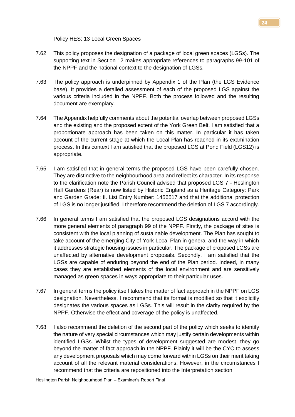Policy HES: 13 Local Green Spaces

- 7.62 This policy proposes the designation of a package of local green spaces (LGSs). The supporting text in Section 12 makes appropriate references to paragraphs 99-101 of the NPPF and the national context to the designation of LGSs.
- 7.63 The policy approach is underpinned by Appendix 1 of the Plan (the LGS Evidence base). It provides a detailed assessment of each of the proposed LGS against the various criteria included in the NPPF. Both the process followed and the resulting document are exemplary.
- 7.64 The Appendix helpfully comments about the potential overlap between proposed LGSs and the existing and the proposed extent of the York Green Belt. I am satisfied that a proportionate approach has been taken on this matter. In particular it has taken account of the current stage at which the Local Plan has reached in its examination process. In this context I am satisfied that the proposed LGS at Pond Field (LGS12) is appropriate.
- 7.65 I am satisfied that in general terms the proposed LGS have been carefully chosen. They are distinctive to the neighbourhood area and reflect its character. In its response to the clarification note the Parish Council advised that proposed LGS 7 - Heslington Hall Gardens (Rear) is now listed by Historic England as a Heritage Category: Park and Garden Grade: II. List Entry Number: 1456517 and that the additional protection of LGS is no longer justified. I therefore recommend the deletion of LGS 7 accordingly.
- 7.66 In general terms I am satisfied that the proposed LGS designations accord with the more general elements of paragraph 99 of the NPPF. Firstly, the package of sites is consistent with the local planning of sustainable development. The Plan has sought to take account of the emerging City of York Local Plan in general and the way in which it addresses strategic housing issues in particular. The package of proposed LGSs are unaffected by alternative development proposals. Secondly, I am satisfied that the LGSs are capable of enduring beyond the end of the Plan period. Indeed, in many cases they are established elements of the local environment and are sensitively managed as green spaces in ways appropriate to their particular uses.
- 7.67 In general terms the policy itself takes the matter of fact approach in the NPPF on LGS designation. Nevertheless, I recommend that its format is modified so that it explicitly designates the various spaces as LGSs. This will result in the clarity required by the NPPF. Otherwise the effect and coverage of the policy is unaffected.
- 7.68 I also recommend the deletion of the second part of the policy which seeks to identify the nature of very special circumstances which may justify certain developments within identified LGSs. Whilst the types of development suggested are modest, they go beyond the matter of fact approach in the NPPF. Plainly it will be the CYC to assess any development proposals which may come forward within LGSs on their merit taking account of all the relevant material considerations. However, in the circumstances I recommend that the criteria are repositioned into the Interpretation section.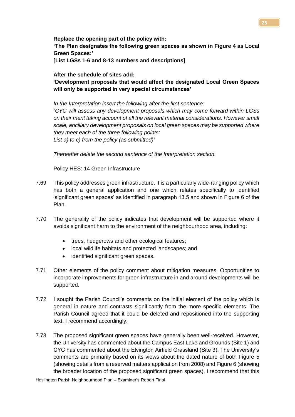**Replace the opening part of the policy with: 'The Plan designates the following green spaces as shown in Figure 4 as Local Green Spaces:' [List LGSs 1-6 and 8-13 numbers and descriptions]**

**After the schedule of sites add:**

**'Development proposals that would affect the designated Local Green Spaces will only be supported in very special circumstances'** 

*In the Interpretation insert the following after the first sentence:*  **'***CYC will assess any development proposals which may come forward within LGSs on their merit taking account of all the relevant material considerations. However small scale, ancillary development proposals on local green spaces may be supported where they meet each of the three following points: List a) to c) from the policy (as submitted)'*

*Thereafter delete the second sentence of the Interpretation section.*

Policy HES: 14 Green Infrastructure

- 7.69 This policy addresses green infrastructure. It is a particularly wide-ranging policy which has both a general application and one which relates specifically to identified 'significant green spaces' as identified in paragraph 13.5 and shown in Figure 6 of the Plan.
- 7.70 The generality of the policy indicates that development will be supported where it avoids significant harm to the environment of the neighbourhood area, including:
	- trees, hedgerows and other ecological features;
	- local wildlife habitats and protected landscapes; and
	- identified significant green spaces.
- 7.71 Other elements of the policy comment about mitigation measures. Opportunities to incorporate improvements for green infrastructure in and around developments will be supported.
- 7.72 I sought the Parish Council's comments on the initial element of the policy which is general in nature and contrasts significantly from the more specific elements. The Parish Council agreed that it could be deleted and repositioned into the supporting text. I recommend accordingly.
- 7.73 The proposed significant green spaces have generally been well-received. However, the University has commented about the Campus East Lake and Grounds (Site 1) and CYC has commented about the Elvington Airfield Grassland (Site 3). The University's comments are primarily based on its views about the dated nature of both Figure 5 (showing details from a reserved matters application from 2008) and Figure 6 (showing the broader location of the proposed significant green spaces). I recommend that this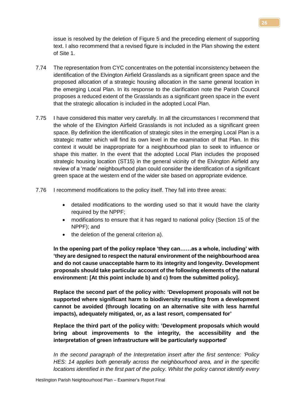issue is resolved by the deletion of Figure 5 and the preceding element of supporting text. I also recommend that a revised figure is included in the Plan showing the extent of Site 1.

- 7.74 The representation from CYC concentrates on the potential inconsistency between the identification of the Elvington Airfield Grasslands as a significant green space and the proposed allocation of a strategic housing allocation in the same general location in the emerging Local Plan. In its response to the clarification note the Parish Council proposes a reduced extent of the Grasslands as a significant green space in the event that the strategic allocation is included in the adopted Local Plan.
- 7.75 I have considered this matter very carefully. In all the circumstances I recommend that the whole of the Elvington Airfield Grasslands is not included as a significant green space. By definition the identification of strategic sites in the emerging Local Plan is a strategic matter which will find its own level in the examination of that Plan. In this context it would be inappropriate for a neighbourhood plan to seek to influence or shape this matter. In the event that the adopted Local Plan includes the proposed strategic housing location (ST15) in the general vicinity of the Elvington Airfield any review of a 'made' neighbourhood plan could consider the identification of a significant green space at the western end of the wider site based on appropriate evidence.
- 7.76 I recommend modifications to the policy itself. They fall into three areas:
	- detailed modifications to the wording used so that it would have the clarity required by the NPPF;
	- modifications to ensure that it has regard to national policy (Section 15 of the NPPF); and
	- the deletion of the general criterion a).

**In the opening part of the policy replace 'they can……as a whole, including' with 'they are designed to respect the natural environment of the neighbourhood area and do not cause unacceptable harm to its integrity and longevity. Development proposals should take particular account of the following elements of the natural environment: [At this point include b) and c) from the submitted policy].** 

**Replace the second part of the policy with: 'Development proposals will not be supported where significant harm to biodiversity resulting from a development cannot be avoided (through locating on an alternative site with less harmful impacts), adequately mitigated, or, as a last resort, compensated for'**

**Replace the third part of the policy with: 'Development proposals which would bring about improvements to the integrity, the accessibility and the interpretation of green infrastructure will be particularly supported'**

*In the second paragraph of the Interpretation insert after the first sentence: 'Policy HES: 14 applies both generally across the neighbourhood area, and in the specific locations identified in the first part of the policy. Whilst the policy cannot identify every*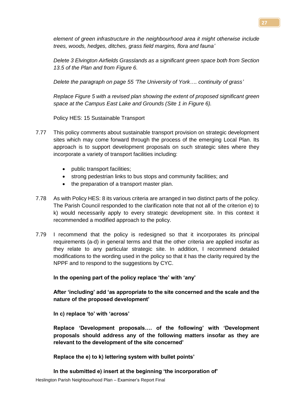*element of green infrastructure in the neighbourhood area it might otherwise include trees, woods, hedges, ditches, grass field margins, flora and fauna'*

*Delete 3 Elvington Airfields Grasslands as a significant green space both from Section 13.5 of the Plan and from Figure 6.*

*Delete the paragraph on page 55 'The University of York…. continuity of grass'*

*Replace Figure 5 with a revised plan showing the extent of proposed significant green space at the Campus East Lake and Grounds (Site 1 in Figure 6).*

Policy HES: 15 Sustainable Transport

- 7.77 This policy comments about sustainable transport provision on strategic development sites which may come forward through the process of the emerging Local Plan. Its approach is to support development proposals on such strategic sites where they incorporate a variety of transport facilities including:
	- public transport facilities;
	- strong pedestrian links to bus stops and community facilities; and
	- the preparation of a transport master plan.
- 7.78 As with Policy HES: 8 its various criteria are arranged in two distinct parts of the policy. The Parish Council responded to the clarification note that not all of the criterion e) to k) would necessarily apply to every strategic development site. In this context it recommended a modified approach to the policy.
- 7.79 I recommend that the policy is redesigned so that it incorporates its principal requirements (a-d) in general terms and that the other criteria are applied insofar as they relate to any particular strategic site. In addition, I recommend detailed modifications to the wording used in the policy so that it has the clarity required by the NPPF and to respond to the suggestions by CYC.

**In the opening part of the policy replace 'the' with 'any'**

**After 'including' add 'as appropriate to the site concerned and the scale and the nature of the proposed development'**

**In c) replace 'to' with 'across'**

**Replace 'Development proposals…. of the following' with 'Development proposals should address any of the following matters insofar as they are relevant to the development of the site concerned'**

**Replace the e) to k) lettering system with bullet points'**

**In the submitted e) insert at the beginning 'the incorporation of'**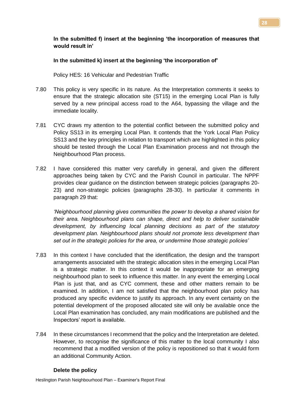# **In the submitted f) insert at the beginning 'the incorporation of measures that would result in'**

## **In the submitted k) insert at the beginning 'the incorporation of'**

Policy HES: 16 Vehicular and Pedestrian Traffic

- 7.80 This policy is very specific in its nature. As the Interpretation comments it seeks to ensure that the strategic allocation site (ST15) in the emerging Local Plan is fully served by a new principal access road to the A64, bypassing the village and the immediate locality.
- 7.81 CYC draws my attention to the potential conflict between the submitted policy and Policy SS13 in its emerging Local Plan. It contends that the York Local Plan Policy SS13 and the key principles in relation to transport which are highlighted in this policy should be tested through the Local Plan Examination process and not through the Neighbourhood Plan process.
- 7.82 I have considered this matter very carefully in general, and given the different approaches being taken by CYC and the Parish Council in particular. The NPPF provides clear guidance on the distinction between strategic policies (paragraphs 20- 23) and non-strategic policies (paragraphs 28-30). In particular it comments in paragraph 29 that:

*'Neighbourhood planning gives communities the power to develop a shared vision for their area. Neighbourhood plans can shape, direct and help to deliver sustainable development, by influencing local planning decisions as part of the statutory development plan. Neighbourhood plans should not promote less development than set out in the strategic policies for the area, or undermine those strategic policies'*

- 7.83 In this context I have concluded that the identification, the design and the transport arrangements associated with the strategic allocation sites in the emerging Local Plan is a strategic matter. In this context it would be inappropriate for an emerging neighbourhood plan to seek to influence this matter. In any event the emerging Local Plan is just that, and as CYC comment, these and other matters remain to be examined. In addition, I am not satisfied that the neighbourhood plan policy has produced any specific evidence to justify its approach. In any event certainty on the potential development of the proposed allocated site will only be available once the Local Plan examination has concluded, any main modifications are published and the Inspectors' report is available.
- 7.84 In these circumstances I recommend that the policy and the Interpretation are deleted. However, to recognise the significance of this matter to the local community I also recommend that a modified version of the policy is repositioned so that it would form an additional Community Action.

## **Delete the policy**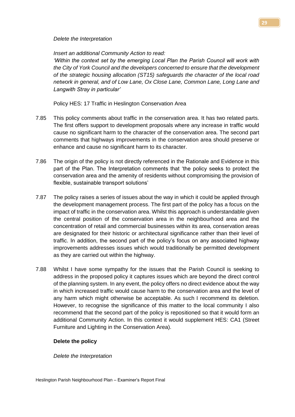#### *Delete the Interpretation*

*Insert an additional Community Action to read:*

*'Within the context set by the emerging Local Plan the Parish Council will work with the City of York Council and the developers concerned to ensure that the development of the strategic housing allocation (ST15) safeguards the character of the local road network in general, and of Low Lane, Ox Close Lane, Common Lane, Long Lane and Langwith Stray in particular'*

Policy HES: 17 Traffic in Heslington Conservation Area

- 7.85 This policy comments about traffic in the conservation area. It has two related parts. The first offers support to development proposals where any increase in traffic would cause no significant harm to the character of the conservation area. The second part comments that highways improvements in the conservation area should preserve or enhance and cause no significant harm to its character.
- 7.86 The origin of the policy is not directly referenced in the Rationale and Evidence in this part of the Plan. The Interpretation comments that 'the policy seeks to protect the conservation area and the amenity of residents without compromising the provision of flexible, sustainable transport solutions'
- 7.87 The policy raises a series of issues about the way in which it could be applied through the development management process. The first part of the policy has a focus on the impact of traffic in the conservation area. Whilst this approach is understandable given the central position of the conservation area in the neighbourhood area and the concentration of retail and commercial businesses within its area, conservation areas are designated for their historic or architectural significance rather than their level of traffic. In addition, the second part of the policy's focus on any associated highway improvements addresses issues which would traditionally be permitted development as they are carried out within the highway.
- 7.88 Whilst I have some sympathy for the issues that the Parish Council is seeking to address in the proposed policy it captures issues which are beyond the direct control of the planning system. In any event, the policy offers no direct evidence about the way in which increased traffic would cause harm to the conservation area and the level of any harm which might otherwise be acceptable. As such I recommend its deletion. However, to recognise the significance of this matter to the local community I also recommend that the second part of the policy is repositioned so that it would form an additional Community Action. In this context it would supplement HES: CA1 (Street Furniture and Lighting in the Conservation Area).

## **Delete the policy**

*Delete the Interpretation*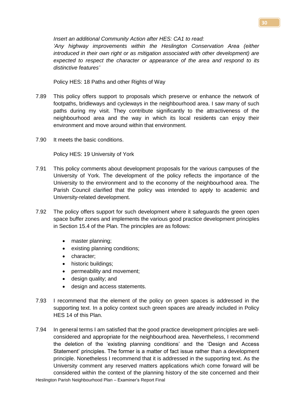*Insert an additional Community Action after HES: CA1 to read:*

*'Any highway improvements within the Heslington Conservation Area (either introduced in their own right or as mitigation associated with other development) are expected to respect the character or appearance of the area and respond to its distinctive features'*

Policy HES: 18 Paths and other Rights of Way

- 7.89 This policy offers support to proposals which preserve or enhance the network of footpaths, bridleways and cycleways in the neighbourhood area. I saw many of such paths during my visit. They contribute significantly to the attractiveness of the neighbourhood area and the way in which its local residents can enjoy their environment and move around within that environment.
- 7.90 It meets the basic conditions.

Policy HES: 19 University of York

- 7.91 This policy comments about development proposals for the various campuses of the University of York. The development of the policy reflects the importance of the University to the environment and to the economy of the neighbourhood area. The Parish Council clarified that the policy was intended to apply to academic and University-related development.
- 7.92 The policy offers support for such development where it safeguards the green open space buffer zones and implements the various good practice development principles in Section 15.4 of the Plan. The principles are as follows:
	- master planning;
	- existing planning conditions:
	- character;
	- historic buildings;
	- permeability and movement;
	- design quality; and
	- design and access statements.
- 7.93 I recommend that the element of the policy on green spaces is addressed in the supporting text. In a policy context such green spaces are already included in Policy HES 14 of this Plan.
- 7.94 In general terms I am satisfied that the good practice development principles are wellconsidered and appropriate for the neighbourhood area. Nevertheless, I recommend the deletion of the 'existing planning conditions' and the 'Design and Access Statement' principles. The former is a matter of fact issue rather than a development principle. Nonetheless I recommend that it is addressed in the supporting text. As the University comment any reserved matters applications which come forward will be considered within the context of the planning history of the site concerned and their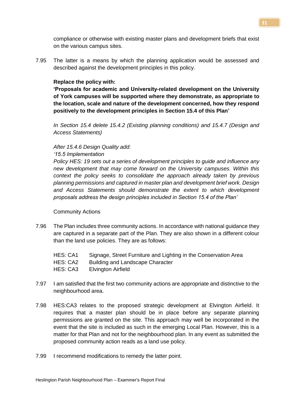compliance or otherwise with existing master plans and development briefs that exist on the various campus sites.

7.95 The latter is a means by which the planning application would be assessed and described against the development principles in this policy.

#### **Replace the policy with:**

**'Proposals for academic and University-related development on the University of York campuses will be supported where they demonstrate, as appropriate to the location, scale and nature of the development concerned, how they respond positively to the development principles in Section 15.4 of this Plan'**

*In Section 15.4 delete 15.4.2 (Existing planning conditions) and 15.4.7 (Design and Access Statements)*

#### *After 15.4.6 Design Quality add:*

*'15.5 Implementation*

*Policy HES: 19 sets out a series of development principles to guide and influence any new development that may come forward on the University campuses. Within this context the policy seeks to consolidate the approach already taken by previous planning permissions and captured in master plan and development brief work. Design and Access Statements should demonstrate the extent to which development proposals address the design principles included in Section 15.4 of the Plan'*

#### Community Actions

7.96 The Plan includes three community actions. In accordance with national guidance they are captured in a separate part of the Plan. They are also shown in a different colour than the land use policies. They are as follows:

| HES: CA1 | Signage, Street Furniture and Lighting in the Conservation Area |
|----------|-----------------------------------------------------------------|
| HES: CA2 | Building and Landscape Character                                |
| HES: CA3 | Elvington Airfield                                              |

- 7.97 I am satisfied that the first two community actions are appropriate and distinctive to the neighbourhood area.
- 7.98 HES:CA3 relates to the proposed strategic development at Elvington Airfield. It requires that a master plan should be in place before any separate planning permissions are granted on the site. This approach may well be incorporated in the event that the site is included as such in the emerging Local Plan. However, this is a matter for that Plan and not for the neighbourhood plan. In any event as submitted the proposed community action reads as a land use policy.
- 7.99 I recommend modifications to remedy the latter point.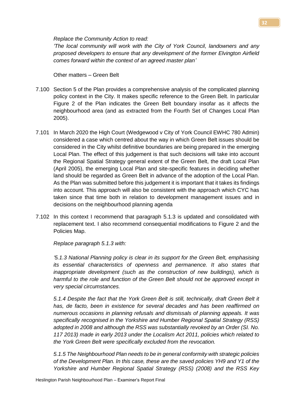*Replace the Community Action to read:*

*'The local community will work with the City of York Council, landowners and any proposed developers to ensure that any development of the former Elvington Airfield comes forward within the context of an agreed master plan'*

Other matters – Green Belt

- 7.100 Section 5 of the Plan provides a comprehensive analysis of the complicated planning policy context in the City. It makes specific reference to the Green Belt. In particular Figure 2 of the Plan indicates the Green Belt boundary insofar as it affects the neighbourhood area (and as extracted from the Fourth Set of Changes Local Plan 2005).
- 7.101 In March 2020 the High Court (Wedgewood v City of York Council EWHC 780 Admin) considered a case which centred about the way in which Green Belt issues should be considered in the City whilst definitive boundaries are being prepared in the emerging Local Plan. The effect of this judgement is that such decisions will take into account the Regional Spatial Strategy general extent of the Green Belt, the draft Local Plan (April 2005), the emerging Local Plan and site-specific features in deciding whether land should be regarded as Green Belt in advance of the adoption of the Local Plan. As the Plan was submitted before this judgement it is important that it takes its findings into account. This approach will also be consistent with the approach which CYC has taken since that time both in relation to development management issues and in decisions on the neighbourhood planning agenda
- 7.102 In this context I recommend that paragraph 5.1.3 is updated and consolidated with replacement text. I also recommend consequential modifications to Figure 2 and the Policies Map.

*Replace paragraph 5.1.3 with:*

*'5.1.3 National Planning policy is clear in its support for the Green Belt, emphasising its essential characteristics of openness and permanence. It also states that inappropriate development (such as the construction of new buildings), which is harmful to the role and function of the Green Belt should not be approved except in very special circumstances.* 

*5.1.4 Despite the fact that the York Green Belt is still, technically, draft Green Belt it has, de facto, been in existence for several decades and has been reaffirmed on numerous occasions in planning refusals and dismissals of planning appeals. It was specifically recognised in the Yorkshire and Humber Regional Spatial Strategy (RSS) adopted in 2008 and although the RSS was substantially revoked by an Order (SI. No. 117 2013) made in early 2013 under the Localism Act 2011, policies which related to the York Green Belt were specifically excluded from the revocation.*

*5.1.5 The Neighbourhood Plan needs to be in general conformity with strategic policies of the Development Plan. In this case, these are the saved policies YH9 and Y1 of the Yorkshire and Humber Regional Spatial Strategy (RSS) (2008) and the RSS Key*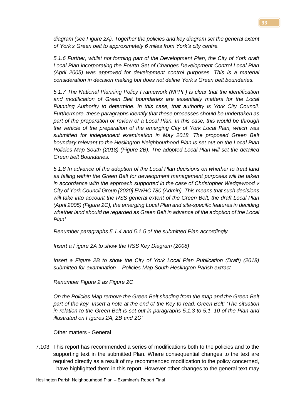*diagram (see Figure 2A). Together the policies and key diagram set the general extent of York's Green belt to approximately 6 miles from York's city centre.*

*5.1.6 Further, whilst not forming part of the Development Plan, the City of York draft Local Plan incorporating the Fourth Set of Changes Development Control Local Plan (April 2005) was approved for development control purposes. This is a material consideration in decision making but does not define York's Green belt boundaries.*

*5.1.7 The National Planning Policy Framework (NPPF) is clear that the identification and modification of Green Belt boundaries are essentially matters for the Local Planning Authority to determine. In this case, that authority is York City Council. Furthermore, these paragraphs identify that these processes should be undertaken as part of the preparation or review of a Local Plan. In this case, this would be through the vehicle of the preparation of the emerging City of York Local Plan, which was submitted for independent examination in May 2018. The proposed Green Belt boundary relevant to the Heslington Neighbourhood Plan is set out on the Local Plan Policies Map South (2018) (Figure 2B). The adopted Local Plan will set the detailed Green belt Boundaries.*

*5.1.8 In advance of the adoption of the Local Plan decisions on whether to treat land as falling within the Green Belt for development management purposes will be taken in accordance with the approach supported in the case of Christopher Wedgewood v City of York Council Group [2020] EWHC 780 (Admin). This means that such decisions will take into account the RSS general extent of the Green Belt, the draft Local Plan (April 2005) (Figure 2C), the emerging Local Plan and site-specific features in deciding whether land should be regarded as Green Belt in advance of the adoption of the Local Plan'*

*Renumber paragraphs 5.1.4 and 5.1.5 of the submitted Plan accordingly*

*Insert a Figure 2A to show the RSS Key Diagram (2008)*

*Insert a Figure 2B to show the City of York Local Plan Publication (Draft) (2018) submitted for examination – Policies Map South Heslington Parish extract*

*Renumber Figure 2 as Figure 2C* 

*On the Policies Map remove the Green Belt shading from the map and the Green Belt part of the key. Insert a note at the end of the Key to read: Green Belt: 'The situation in relation to the Green Belt is set out in paragraphs 5.1.3 to 5.1. 10 of the Plan and illustrated on Figures 2A, 2B and 2C'*

Other matters - General

7.103 This report has recommended a series of modifications both to the policies and to the supporting text in the submitted Plan. Where consequential changes to the text are required directly as a result of my recommended modification to the policy concerned, I have highlighted them in this report. However other changes to the general text may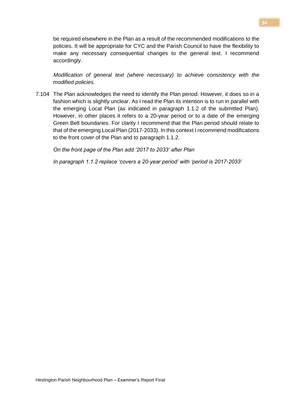be required elsewhere in the Plan as a result of the recommended modifications to the policies. It will be appropriate for CYC and the Parish Council to have the flexibility to make any necessary consequential changes to the general text. I recommend accordingly.

*Modification of general text (where necessary) to achieve consistency with the modified policies.*

7.104 The Plan acknowledges the need to identify the Plan period. However, it does so in a fashion which is slightly unclear. As I read the Plan its intention is to run in parallel with the emerging Local Plan (as indicated in paragraph 1.1.2 of the submitted Plan). However, in other places it refers to a 20-year period or to a date of the emerging Green Belt boundaries. For clarity I recommend that the Plan period should relate to that of the emerging Local Plan (2017-2033). In this context I recommend modifications to the front cover of the Plan and to paragraph 1.1.2.

*On the front page of the Plan add '2017 to 2033' after Plan*

*In paragraph 1.1.2 replace 'covers a 20-year period' with 'period is 2017-2033'*